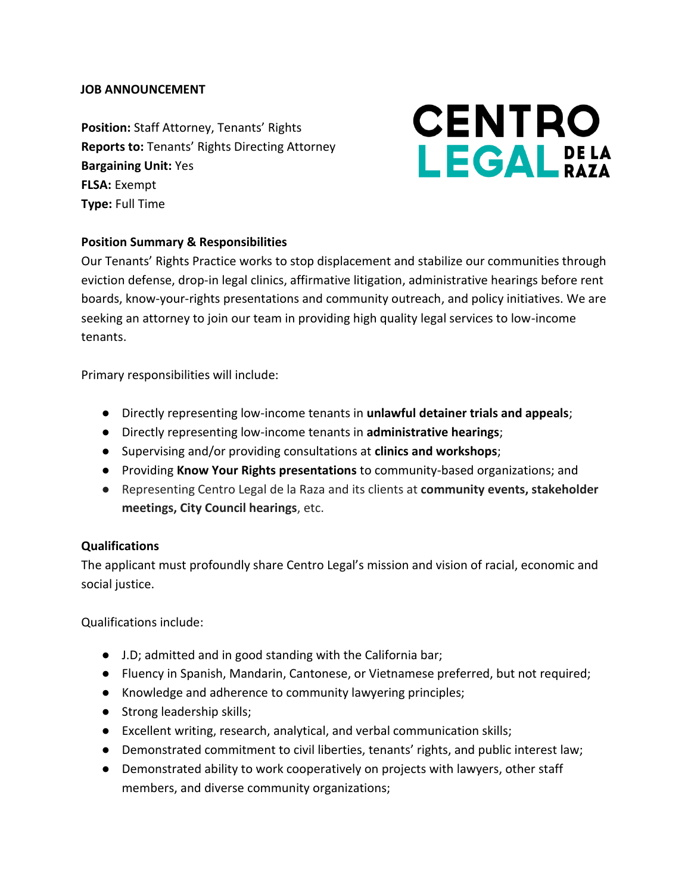#### **JOB ANNOUNCEMENT**

**Position:** Staff Attorney, Tenants' Rights **Reports to:** Tenants' Rights Directing Attorney **Bargaining Unit:** Yes **FLSA:** Exempt **Type:** Full Time

# **CENTRO LEGAL**<sub>BAZA</sub>

## **Position Summary & Responsibilities**

Our Tenants' Rights Practice works to stop displacement and stabilize our communities through eviction defense, drop-in legal clinics, affirmative litigation, administrative hearings before rent boards, know-your-rights presentations and community outreach, and policy initiatives. We are seeking an attorney to join our team in providing high quality legal services to low-income tenants.

Primary responsibilities will include:

- Directly representing low-income tenants in **unlawful detainer trials and appeals**;
- Directly representing low-income tenants in **administrative hearings**;
- Supervising and/or providing consultations at **clinics and workshops**;
- Providing **Know Your Rights presentations** to community-based organizations; and
- Representing Centro Legal de la Raza and its clients at **community events, stakeholder meetings, City Council hearings**, etc.

#### **Qualifications**

The applicant must profoundly share Centro Legal's mission and vision of racial, economic and social justice.

Qualifications include:

- J.D; admitted and in good standing with the California bar;
- Fluency in Spanish, Mandarin, Cantonese, or Vietnamese preferred, but not required;
- Knowledge and adherence to community lawyering principles;
- Strong leadership skills;
- Excellent writing, research, analytical, and verbal communication skills;
- Demonstrated commitment to civil liberties, tenants' rights, and public interest law;
- Demonstrated ability to work cooperatively on projects with lawyers, other staff members, and diverse community organizations;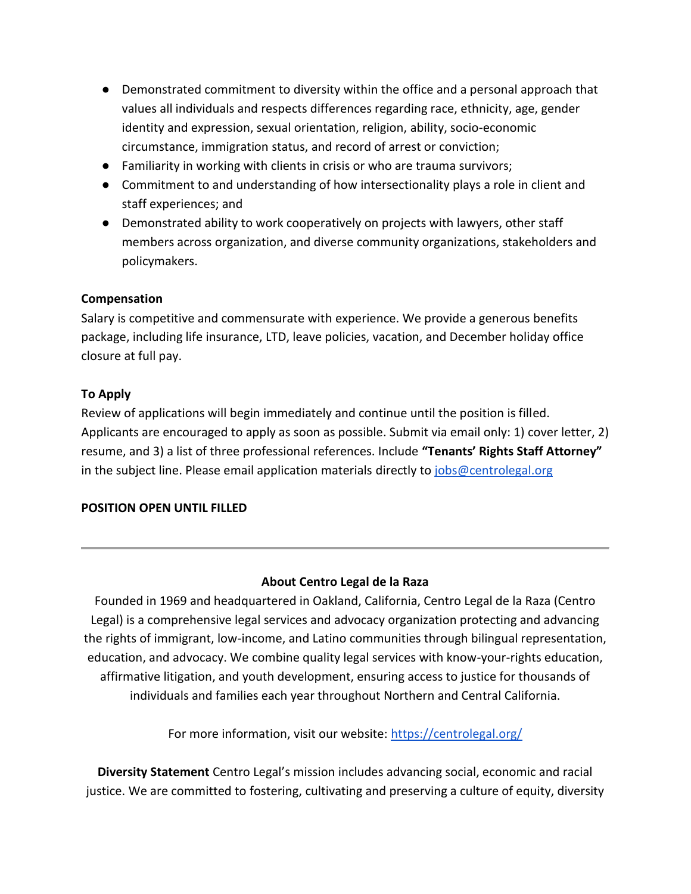- Demonstrated commitment to diversity within the office and a personal approach that values all individuals and respects differences regarding race, ethnicity, age, gender identity and expression, sexual orientation, religion, ability, socio-economic circumstance, immigration status, and record of arrest or conviction;
- Familiarity in working with clients in crisis or who are trauma survivors;
- Commitment to and understanding of how intersectionality plays a role in client and staff experiences; and
- Demonstrated ability to work cooperatively on projects with lawyers, other staff members across organization, and diverse community organizations, stakeholders and policymakers.

#### **Compensation**

Salary is competitive and commensurate with experience. We provide a generous benefits package, including life insurance, LTD, leave policies, vacation, and December holiday office closure at full pay.

### **To Apply**

Review of applications will begin immediately and continue until the position is filled. Applicants are encouraged to apply as soon as possible. Submit via email only: 1) cover letter, 2) resume, and 3) a list of three professional references. Include **"Tenants' Rights Staff Attorney"** in the subject line. Please email application materials directly to  $\frac{1}{10}$  of  $\frac{1}{10}$  of  $\frac{1}{10}$  or  $\frac{1}{10}$ 

## **POSITION OPEN UNTIL FILLED**

## **About Centro Legal de la Raza**

Founded in 1969 and headquartered in Oakland, California, Centro Legal de la Raza (Centro Legal) is a comprehensive legal services and advocacy organization protecting and advancing the rights of immigrant, low-income, and Latino communities through bilingual representation, education, and advocacy. We combine quality legal services with know-your-rights education, affirmative litigation, and youth development, ensuring access to justice for thousands of individuals and families each year throughout Northern and Central California.

For more information, visit our website:<https://centrolegal.org/>

**Diversity Statement** Centro Legal's mission includes advancing social, economic and racial justice. We are committed to fostering, cultivating and preserving a culture of equity, diversity